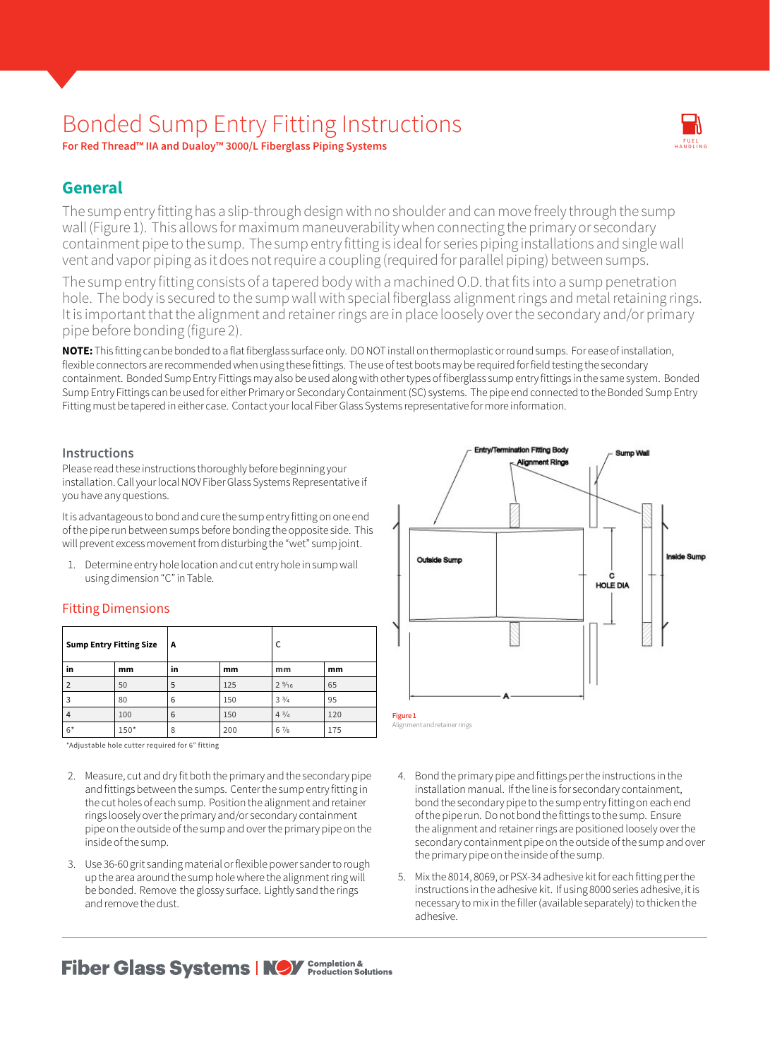# Bonded Sump Entry Fitting Instructions

**For Red Thread™ IIA and Dualoy™ 3000/L Fiberglass Piping Systems**

## **General**

The sump entry fitting has a slip-through design with no shoulder and can move freely through the sump wall (Figure 1). This allows for maximum maneuverability when connecting the primary or secondary containment pipe to the sump. The sump entry fitting is ideal for series piping installations and single wall vent and vapor piping as it does not require a coupling (required for parallel piping) between sumps.

The sump entry fitting consists of a tapered body with a machined O.D. that fits into a sump penetration hole. The body is secured to the sump wall with special fiberglass alignment rings and metal retaining rings. It is important that the alignment and retainer rings are in place loosely over the secondary and/or primary pipe before bonding (figure 2).

**NOTE:** This fitting can be bonded to a flat fiberglass surface only. DO NOT install on thermoplastic or round sumps. For ease of installation, flexible connectors are recommended when using these fittings. The use of test boots may be required for field testing the secondary containment. Bonded Sump Entry Fittings may also be used along with other types of fiberglass sump entry fittings in the same system. Bonded Sump Entry Fittings can be used for either Primary or Secondary Containment (SC) systems. The pipe end connected to the Bonded Sump Entry Fitting must be tapered in either case. Contact your local Fiber Glass Systems representative for more information.

#### **Instructions**

Please read these instructions thoroughly before beginning your installation. Call your local NOV Fiber Glass Systems Representative if you have any questions.

It is advantageous to bond and cure the sump entry fitting on one end of the pipe run between sumps before bonding the opposite side. This will prevent excess movement from disturbing the "wet" sump joint.

1. Determine entry hole location and cut entry hole in sump wall using dimension "C" in Table.

### Fitting Dimensions

| <b>Sump Entry Fitting Size</b> |        | A  |     |                 |     |
|--------------------------------|--------|----|-----|-----------------|-----|
| in                             | mm     | in | mm  | mm              | mm  |
| $\mathcal{P}$                  | 50     | 5  | 125 | $2\frac{9}{16}$ | 65  |
| 3                              | 80     | 6  | 150 | $3\frac{3}{4}$  | 95  |
| 4                              | 100    | 6  | 150 | $4^{3}/4$       | 120 |
| $6*$                           | $150*$ | 8  | 200 | $6\frac{7}{8}$  | 175 |

\*Adjustable hole cutter required for 6" fitting

- 2. Measure, cut and dry fit both the primary and the secondary pipe and fittings between the sumps. Center the sump entry fitting in the cut holes of each sump. Position the alignment and retainer rings loosely over the primary and/or secondary containment pipe on the outside of the sump and over the primary pipe on the inside of the sump.
- 3. Use 36-60 grit sanding material or flexible power sander to rough up the area around the sump hole where the alignment ring will be bonded. Remove the glossy surface. Lightly sand the rings and remove the dust.



 $\overline{v}$ FUEL<br>HANDLING

HANDLING

- 4. Bond the primary pipe and fittings per the instructions in the installation manual. If the line is for secondary containment, bond the secondary pipe to the sump entry fitting on each end of the pipe run. Do not bond the fittings to the sump. Ensure the alignment and retainer rings are positioned loosely over the secondary containment pipe on the outside of the sump and over the primary pipe on the inside of the sump.
- 5. Mix the 8014, 8069, or PSX-34 adhesive kit for each fitting per the instructions in the adhesive kit. If using 8000 series adhesive, it is necessary to mix in the filler (available separately) to thicken the adhesive.

**Fiber Glass Systems | NOV** Completion & Alutions